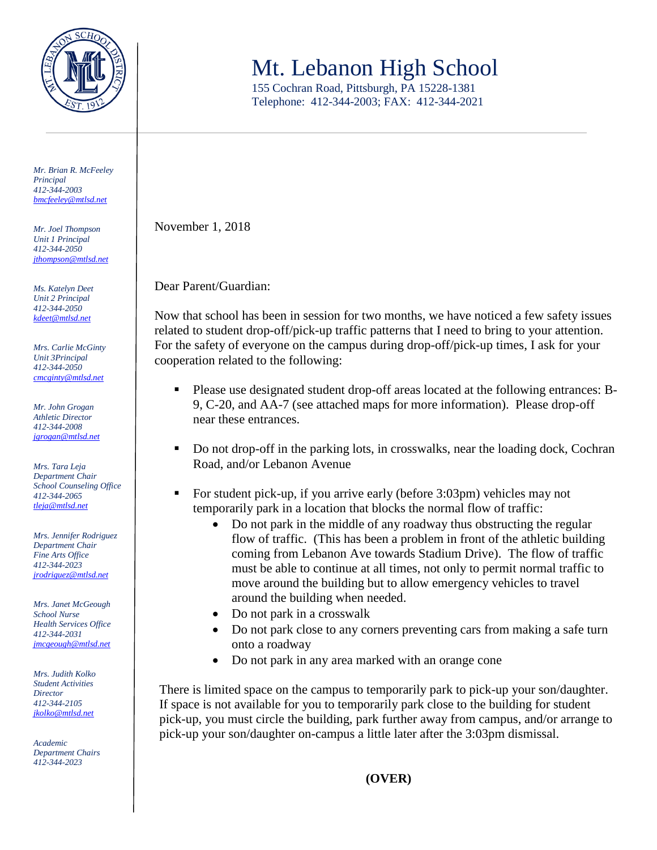

*Mr. Brian R. McFeeley Principal 412-344-2003 [bmcfeeley@mtlsd.net](mailto:bmcfeeley@mtlsd.net)*

*Mr. Joel Thompson Unit 1 Principal 412-344-2050 [jthompson@mtlsd.net](mailto:jthompson@mtlsd.net)*

*Ms. Katelyn Deet Unit 2 Principal 412-344-2050 [kdeet@mtlsd.net](mailto:kdeet@mtlsd.net)*

*Mrs. Carlie McGinty Unit 3Principal 412-344-2050 [cmcginty@mtlsd.net](mailto:cmcginty@mtlsd.net)*

*Mr. John Grogan Athletic Director 412-344-2008 [jgrogan@mtlsd.net](mailto:jgrogan@mtlsd.net)*

*Mrs. Tara Leja Department Chair School Counseling Office 412-344-2065 [tleja@mtlsd.net](mailto:tleja@mtlsd.net)*

*Mrs. Jennifer Rodriguez Department Chair Fine Arts Office 412-344-2023 [jrodriguez@mtlsd.net](mailto:jrodriguez@mtlsd.net)*

*Mrs. Janet McGeough School Nurse Health Services Office 412-344-2031 [jmcgeough@mtlsd.net](mailto:jmcgeough@mtlsd.net)*

*Mrs. Judith Kolko Student Activities Director 412-344-2105 [jkolko@mtlsd.net](mailto:jkolko@mtlsd.net)*

*Academic Department Chairs 412-344-2023*

## Mt. Lebanon High School

155 Cochran Road, Pittsburgh, PA 15228-1381 Telephone: 412-344-2003; FAX: 412-344-2021

November 1, 2018

Dear Parent/Guardian:

Now that school has been in session for two months, we have noticed a few safety issues related to student drop-off/pick-up traffic patterns that I need to bring to your attention. For the safety of everyone on the campus during drop-off/pick-up times, I ask for your cooperation related to the following:

- Please use designated student drop-off areas located at the following entrances: B-9, C-20, and AA-7 (see attached maps for more information). Please drop-off near these entrances.
- Do not drop-off in the parking lots, in crosswalks, near the loading dock, Cochran Road, and/or Lebanon Avenue
- For student pick-up, if you arrive early (before 3:03pm) vehicles may not temporarily park in a location that blocks the normal flow of traffic:
	- Do not park in the middle of any roadway thus obstructing the regular flow of traffic. (This has been a problem in front of the athletic building coming from Lebanon Ave towards Stadium Drive). The flow of traffic must be able to continue at all times, not only to permit normal traffic to move around the building but to allow emergency vehicles to travel around the building when needed.
	- Do not park in a crosswalk
	- Do not park close to any corners preventing cars from making a safe turn onto a roadway
	- Do not park in any area marked with an orange cone

There is limited space on the campus to temporarily park to pick-up your son/daughter. If space is not available for you to temporarily park close to the building for student pick-up, you must circle the building, park further away from campus, and/or arrange to pick-up your son/daughter on-campus a little later after the 3:03pm dismissal.